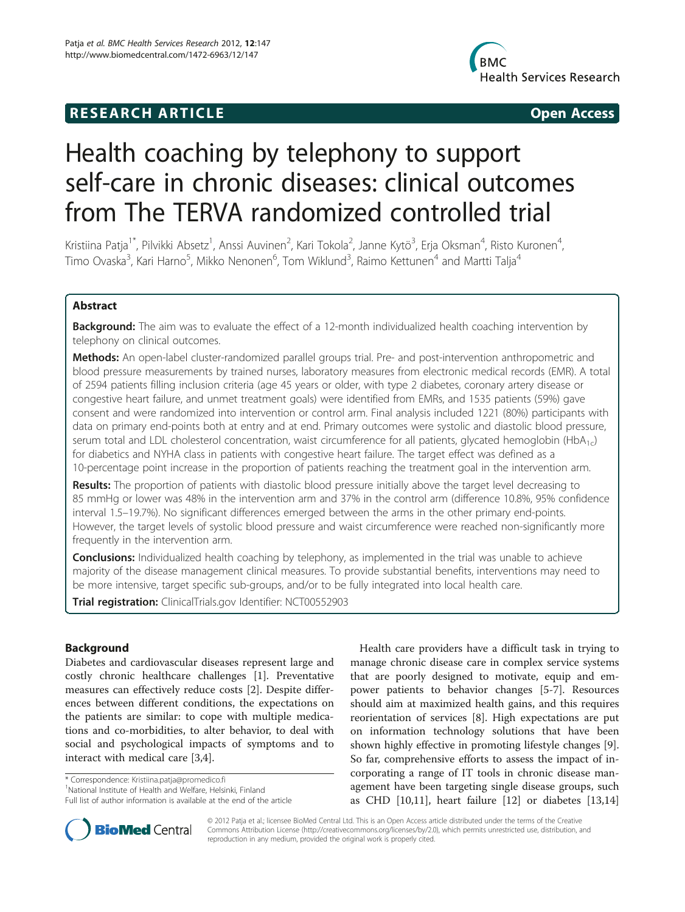## **RESEARCH ARTICLE Example 2014 The SEAR CH ACCESS**



# Health coaching by telephony to support self-care in chronic diseases: clinical outcomes from The TERVA randomized controlled trial

Kristiina Patja<sup>1\*</sup>, Pilvikki Absetz<sup>1</sup>, Anssi Auvinen<sup>2</sup>, Kari Tokola<sup>2</sup>, Janne Kytö<sup>3</sup>, Erja Oksman<sup>4</sup>, Risto Kuronen<sup>4</sup> , Timo Ovaska<sup>3</sup>, Kari Harno<sup>5</sup>, Mikko Nenonen<sup>6</sup>, Tom Wiklund<sup>3</sup>, Raimo Kettunen<sup>4</sup> and Martti Talja<sup>4</sup>

## Abstract

**Background:** The aim was to evaluate the effect of a 12-month individualized health coaching intervention by telephony on clinical outcomes.

Methods: An open-label cluster-randomized parallel groups trial. Pre- and post-intervention anthropometric and blood pressure measurements by trained nurses, laboratory measures from electronic medical records (EMR). A total of 2594 patients filling inclusion criteria (age 45 years or older, with type 2 diabetes, coronary artery disease or congestive heart failure, and unmet treatment goals) were identified from EMRs, and 1535 patients (59%) gave consent and were randomized into intervention or control arm. Final analysis included 1221 (80%) participants with data on primary end-points both at entry and at end. Primary outcomes were systolic and diastolic blood pressure, serum total and LDL cholesterol concentration, waist circumference for all patients, glycated hemoglobin (HbA<sub>1c</sub>) for diabetics and NYHA class in patients with congestive heart failure. The target effect was defined as a 10-percentage point increase in the proportion of patients reaching the treatment goal in the intervention arm.

Results: The proportion of patients with diastolic blood pressure initially above the target level decreasing to 85 mmHg or lower was 48% in the intervention arm and 37% in the control arm (difference 10.8%, 95% confidence interval 1.5–19.7%). No significant differences emerged between the arms in the other primary end-points. However, the target levels of systolic blood pressure and waist circumference were reached non-significantly more frequently in the intervention arm.

**Conclusions:** Individualized health coaching by telephony, as implemented in the trial was unable to achieve majority of the disease management clinical measures. To provide substantial benefits, interventions may need to be more intensive, target specific sub-groups, and/or to be fully integrated into local health care.

Trial registration: ClinicalTrials.gov Identifier: NCT00552903

## Background

Diabetes and cardiovascular diseases represent large and costly chronic healthcare challenges [[1\]](#page-6-0). Preventative measures can effectively reduce costs [[2\]](#page-7-0). Despite differences between different conditions, the expectations on the patients are similar: to cope with multiple medications and co-morbidities, to alter behavior, to deal with social and psychological impacts of symptoms and to interact with medical care [\[3,4](#page-7-0)].

\* Correspondence: [Kristiina.patja@promedico.fi](mailto:Kristiina.patja@promedico.fi) <sup>1</sup>

Health care providers have a difficult task in trying to manage chronic disease care in complex service systems that are poorly designed to motivate, equip and empower patients to behavior changes [[5-7](#page-7-0)]. Resources should aim at maximized health gains, and this requires reorientation of services [[8\]](#page-7-0). High expectations are put on information technology solutions that have been shown highly effective in promoting lifestyle changes [\[9](#page-7-0)]. So far, comprehensive efforts to assess the impact of incorporating a range of IT tools in chronic disease management have been targeting single disease groups, such as CHD [[10,11\]](#page-7-0), heart failure [\[12\]](#page-7-0) or diabetes [[13](#page-7-0),[14](#page-7-0)]



© 2012 Patja et al.; licensee BioMed Central Ltd. This is an Open Access article distributed under the terms of the Creative Commons Attribution License [\(http://creativecommons.org/licenses/by/2.0\)](http://creativecommons.org/licenses/by/2.0), which permits unrestricted use, distribution, and reproduction in any medium, provided the original work is properly cited.

<sup>&</sup>lt;sup>1</sup>National Institute of Health and Welfare, Helsinki, Finland

Full list of author information is available at the end of the article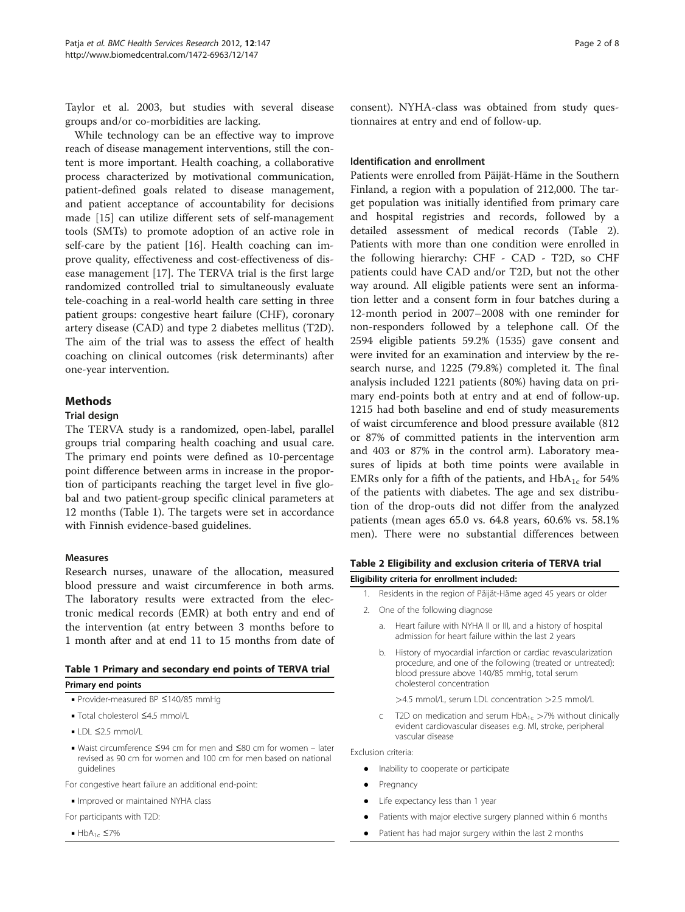Taylor et al. 2003, but studies with several disease groups and/or co-morbidities are lacking.

While technology can be an effective way to improve reach of disease management interventions, still the content is more important. Health coaching, a collaborative process characterized by motivational communication, patient-defined goals related to disease management, and patient acceptance of accountability for decisions made [\[15\]](#page-7-0) can utilize different sets of self-management tools (SMTs) to promote adoption of an active role in self-care by the patient [[16\]](#page-7-0). Health coaching can improve quality, effectiveness and cost-effectiveness of disease management [[17\]](#page-7-0). The TERVA trial is the first large randomized controlled trial to simultaneously evaluate tele-coaching in a real-world health care setting in three patient groups: congestive heart failure (CHF), coronary artery disease (CAD) and type 2 diabetes mellitus (T2D). The aim of the trial was to assess the effect of health coaching on clinical outcomes (risk determinants) after one-year intervention.

## Methods

#### Trial design

The TERVA study is a randomized, open-label, parallel groups trial comparing health coaching and usual care. The primary end points were defined as 10-percentage point difference between arms in increase in the proportion of participants reaching the target level in five global and two patient-group specific clinical parameters at 12 months (Table 1). The targets were set in accordance with Finnish evidence-based guidelines.

#### Measures

Research nurses, unaware of the allocation, measured blood pressure and waist circumference in both arms. The laboratory results were extracted from the electronic medical records (EMR) at both entry and end of the intervention (at entry between 3 months before to 1 month after and at end 11 to 15 months from date of

## Table 1 Primary and secondary end points of TERVA trial Primary end points

- Provider-measured BP ≤140/85 mmHg
- Total cholesterol ≤4.5 mmol/L
- $\blacksquare$  LDL  $\leq$ 2.5 mmol/L
- Waist circumference ≤94 cm for men and ≤80 cm for women later revised as 90 cm for women and 100 cm for men based on national guidelines
- For congestive heart failure an additional end-point:
- Improved or maintained NYHA class
- For participants with T2D:
- $\blacksquare$  HbA<sub>1c</sub>  $\leq$ 7%

consent). NYHA-class was obtained from study questionnaires at entry and end of follow-up.

#### Identification and enrollment

Patients were enrolled from Päijät-Häme in the Southern Finland, a region with a population of 212,000. The target population was initially identified from primary care and hospital registries and records, followed by a detailed assessment of medical records (Table 2). Patients with more than one condition were enrolled in the following hierarchy: CHF - CAD - T2D, so CHF patients could have CAD and/or T2D, but not the other way around. All eligible patients were sent an information letter and a consent form in four batches during a 12-month period in 2007–2008 with one reminder for non-responders followed by a telephone call. Of the 2594 eligible patients 59.2% (1535) gave consent and were invited for an examination and interview by the research nurse, and 1225 (79.8%) completed it. The final analysis included 1221 patients (80%) having data on primary end-points both at entry and at end of follow-up. 1215 had both baseline and end of study measurements of waist circumference and blood pressure available (812 or 87% of committed patients in the intervention arm and 403 or 87% in the control arm). Laboratory measures of lipids at both time points were available in EMRs only for a fifth of the patients, and  $HbA_{1c}$  for 54% of the patients with diabetes. The age and sex distribution of the drop-outs did not differ from the analyzed patients (mean ages 65.0 vs. 64.8 years, 60.6% vs. 58.1% men). There were no substantial differences between

#### Table 2 Eligibility and exclusion criteria of TERVA trial

Eligibility criteria for enrollment included:

- Residents in the region of Päijät-Häme aged 45 years or older
- 2. One of the following diagnose
	- a. Heart failure with NYHA II or III, and a history of hospital admission for heart failure within the last 2 years
	- b. History of myocardial infarction or cardiac revascularization procedure, and one of the following (treated or untreated): blood pressure above 140/85 mmHg, total serum cholesterol concentration
		- >4.5 mmol/L, serum LDL concentration >2.5 mmol/L
	- c T2D on medication and serum  $HbA_{1c} > 7%$  without clinically evident cardiovascular diseases e.g. MI, stroke, peripheral vascular disease

Exclusion criteria:

- Inability to cooperate or participate
- Pregnancy
- Life expectancy less than 1 year
- Patients with major elective surgery planned within 6 months
- Patient has had major surgery within the last 2 months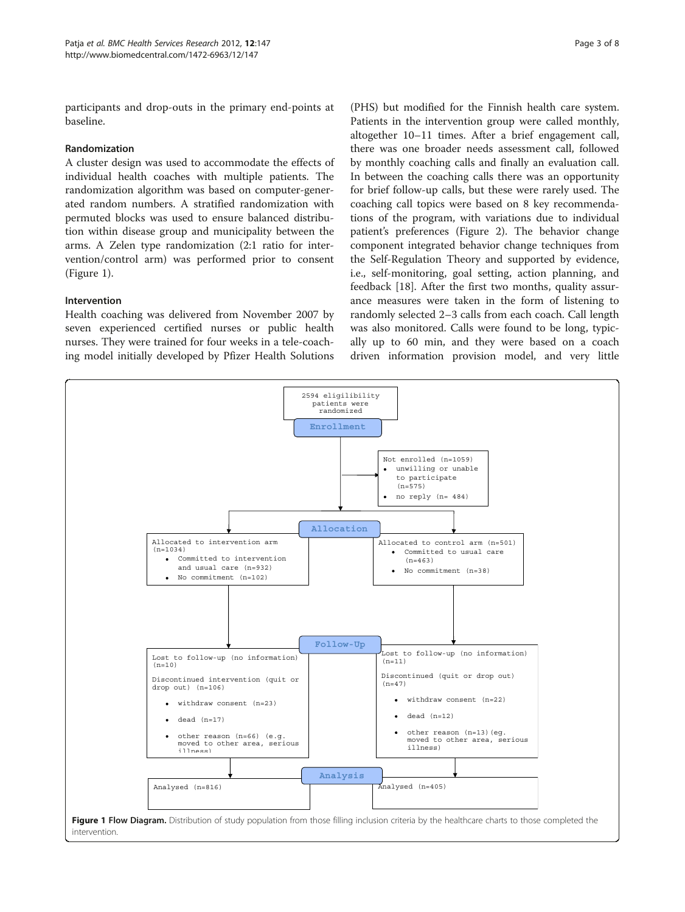participants and drop-outs in the primary end-points at baseline.

## Randomization

A cluster design was used to accommodate the effects of individual health coaches with multiple patients. The randomization algorithm was based on computer-generated random numbers. A stratified randomization with permuted blocks was used to ensure balanced distribution within disease group and municipality between the arms. A Zelen type randomization (2:1 ratio for intervention/control arm) was performed prior to consent (Figure 1).

## Intervention

Health coaching was delivered from November 2007 by seven experienced certified nurses or public health nurses. They were trained for four weeks in a tele-coaching model initially developed by Pfizer Health Solutions

(PHS) but modified for the Finnish health care system. Patients in the intervention group were called monthly, altogether 10–11 times. After a brief engagement call, there was one broader needs assessment call, followed by monthly coaching calls and finally an evaluation call. In between the coaching calls there was an opportunity for brief follow-up calls, but these were rarely used. The coaching call topics were based on 8 key recommendations of the program, with variations due to individual patient's preferences (Figure [2](#page-3-0)). The behavior change component integrated behavior change techniques from the Self-Regulation Theory and supported by evidence, i.e., self-monitoring, goal setting, action planning, and feedback [\[18](#page-7-0)]. After the first two months, quality assurance measures were taken in the form of listening to randomly selected 2–3 calls from each coach. Call length was also monitored. Calls were found to be long, typically up to 60 min, and they were based on a coach driven information provision model, and very little

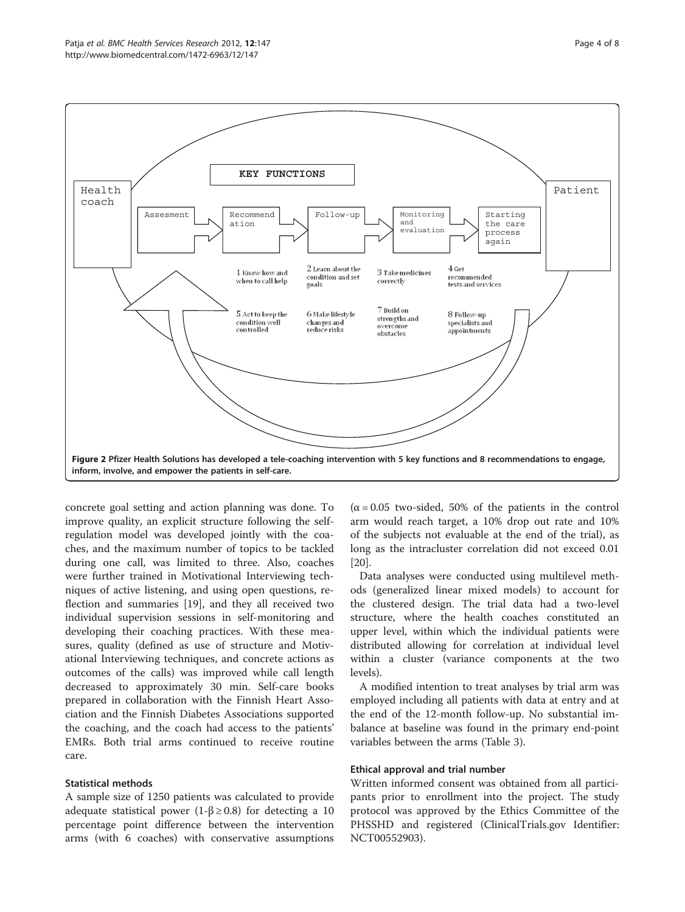<span id="page-3-0"></span>

concrete goal setting and action planning was done. To improve quality, an explicit structure following the selfregulation model was developed jointly with the coaches, and the maximum number of topics to be tackled during one call, was limited to three. Also, coaches were further trained in Motivational Interviewing techniques of active listening, and using open questions, reflection and summaries [[19\]](#page-7-0), and they all received two individual supervision sessions in self-monitoring and developing their coaching practices. With these measures, quality (defined as use of structure and Motivational Interviewing techniques, and concrete actions as outcomes of the calls) was improved while call length decreased to approximately 30 min. Self-care books prepared in collaboration with the Finnish Heart Association and the Finnish Diabetes Associations supported the coaching, and the coach had access to the patients' EMRs. Both trial arms continued to receive routine care.

#### Statistical methods

A sample size of 1250 patients was calculated to provide adequate statistical power (1- $\beta \ge 0.8$ ) for detecting a 10 percentage point difference between the intervention arms (with 6 coaches) with conservative assumptions

 $(\alpha = 0.05$  two-sided, 50% of the patients in the control arm would reach target, a 10% drop out rate and 10% of the subjects not evaluable at the end of the trial), as long as the intracluster correlation did not exceed 0.01 [[20\]](#page-7-0).

Data analyses were conducted using multilevel methods (generalized linear mixed models) to account for the clustered design. The trial data had a two-level structure, where the health coaches constituted an upper level, within which the individual patients were distributed allowing for correlation at individual level within a cluster (variance components at the two levels).

A modified intention to treat analyses by trial arm was employed including all patients with data at entry and at the end of the 12-month follow-up. No substantial imbalance at baseline was found in the primary end-point variables between the arms (Table [3\)](#page-4-0).

#### Ethical approval and trial number

Written informed consent was obtained from all participants prior to enrollment into the project. The study protocol was approved by the Ethics Committee of the PHSSHD and registered (ClinicalTrials.gov Identifier: NCT00552903).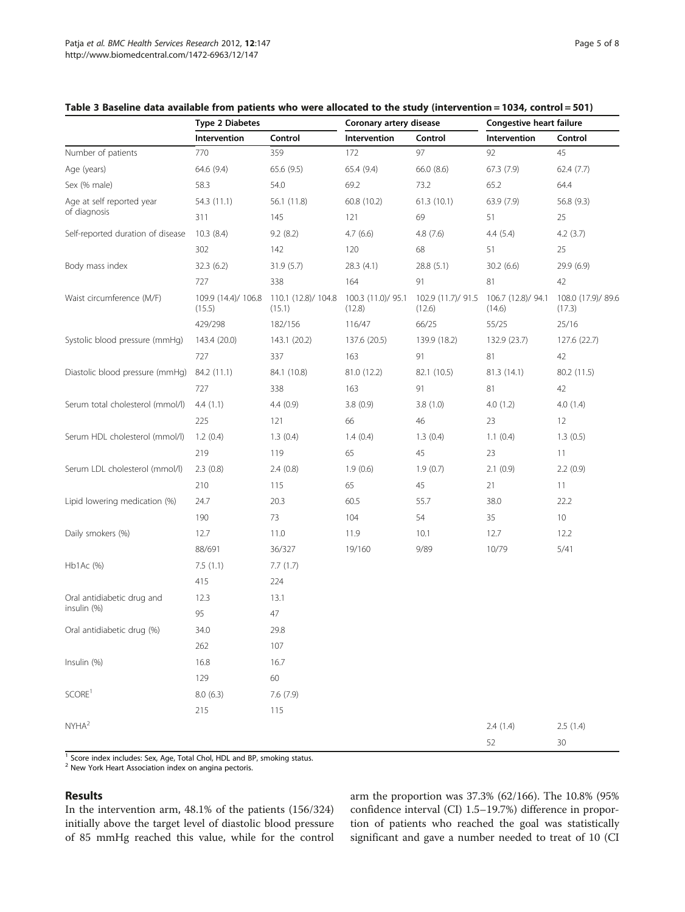|                                           | <b>Type 2 Diabetes</b>        |                               | Coronary artery disease      |                              | Congestive heart failure     |                              |
|-------------------------------------------|-------------------------------|-------------------------------|------------------------------|------------------------------|------------------------------|------------------------------|
|                                           | Intervention                  | Control                       | Intervention                 | Control                      | Intervention                 | Control                      |
| Number of patients                        | 770                           | 359                           | 172                          | 97                           | 92                           | 45                           |
| Age (years)                               | 64.6 (9.4)                    | 65.6 (9.5)                    | 65.4 (9.4)                   | 66.0 (8.6)                   | 67.3 (7.9)                   | 62.4(7.7)                    |
| Sex (% male)                              | 58.3                          | 54.0                          | 69.2                         | 73.2                         | 65.2                         | 64.4                         |
| Age at self reported year<br>of diagnosis | 54.3 (11.1)                   | 56.1 (11.8)                   | 60.8 (10.2)                  | 61.3(10.1)                   | 63.9 (7.9)                   | 56.8 (9.3)                   |
|                                           | 311                           | 145                           | 121                          | 69                           | 51                           | 25                           |
| Self-reported duration of disease         | 10.3(8.4)                     | 9.2(8.2)                      | 4.7(6.6)                     | 4.8 (7.6)                    | 4.4(5.4)                     | 4.2(3.7)                     |
|                                           | 302                           | 142                           | 120                          | 68                           | 51                           | 25                           |
| Body mass index                           | 32.3(6.2)                     | 31.9(5.7)                     | 28.3 (4.1)                   | 28.8 (5.1)                   | 30.2(6.6)                    | 29.9 (6.9)                   |
|                                           | 727                           | 338                           | 164                          | 91                           | 81                           | 42                           |
| Waist circumference (M/F)                 | 109.9 (14.4)/ 106.8<br>(15.5) | 110.1 (12.8)/ 104.8<br>(15.1) | 100.3 (11.0)/ 95.1<br>(12.8) | 102.9 (11.7)/ 91.5<br>(12.6) | 106.7 (12.8)/ 94.1<br>(14.6) | 108.0 (17.9)/ 89.6<br>(17.3) |
|                                           | 429/298                       | 182/156                       | 116/47                       | 66/25                        | 55/25                        | 25/16                        |
| Systolic blood pressure (mmHg)            | 143.4 (20.0)                  | 143.1 (20.2)                  | 137.6 (20.5)                 | 139.9 (18.2)                 | 132.9 (23.7)                 | 127.6 (22.7)                 |
|                                           | 727                           | 337                           | 163                          | 91                           | 81                           | 42                           |
| Diastolic blood pressure (mmHg)           | 84.2 (11.1)                   | 84.1 (10.8)                   | 81.0 (12.2)                  | 82.1 (10.5)                  | 81.3 (14.1)                  | 80.2 (11.5)                  |
|                                           | 727                           | 338                           | 163                          | 91                           | 81                           | 42                           |
| Serum total cholesterol (mmol/l)          | 4.4(1.1)                      | 4.4(0.9)                      | 3.8(0.9)                     | 3.8(1.0)                     | 4.0(1.2)                     | 4.0(1.4)                     |
|                                           | 225                           | 121                           | 66                           | 46                           | 23                           | 12                           |
| Serum HDL cholesterol (mmol/l)            | 1.2(0.4)                      | 1.3(0.4)                      | 1.4(0.4)                     | 1.3(0.4)                     | 1.1(0.4)                     | 1.3(0.5)                     |
|                                           | 219                           | 119                           | 65                           | 45                           | 23                           | 11                           |
| Serum LDL cholesterol (mmol/l)            | 2.3(0.8)                      | 2.4(0.8)                      | 1.9(0.6)                     | 1.9(0.7)                     | 2.1(0.9)                     | 2.2(0.9)                     |
|                                           | 210                           | 115                           | 65                           | 45                           | 21                           | 11                           |
| Lipid lowering medication (%)             | 24.7                          | 20.3                          | 60.5                         | 55.7                         | 38.0                         | 22.2                         |
|                                           | 190                           | 73                            | 104                          | 54                           | 35                           | 10                           |
| Daily smokers (%)                         | 12.7                          | 11.0                          | 11.9                         | 10.1                         | 12.7                         | 12.2                         |
|                                           | 88/691                        | 36/327                        | 19/160                       | 9/89                         | 10/79                        | 5/41                         |
| Hb1Ac (%)                                 | 7.5(1.1)                      | 7.7(1.7)                      |                              |                              |                              |                              |
|                                           | 415                           | 224                           |                              |                              |                              |                              |
| Oral antidiabetic drug and<br>insulin (%) | 12.3                          | 13.1                          |                              |                              |                              |                              |
|                                           | 95                            | 47                            |                              |                              |                              |                              |
| Oral antidiabetic drug (%)                | 34.0                          | 29.8                          |                              |                              |                              |                              |
|                                           | 262                           | 107                           |                              |                              |                              |                              |
| Insulin (%)                               | 16.8                          | 16.7                          |                              |                              |                              |                              |
|                                           | 129                           | 60                            |                              |                              |                              |                              |
| SCORE <sup>1</sup>                        | 8.0(6.3)                      | 7.6 (7.9)                     |                              |                              |                              |                              |
|                                           | 215                           | 115                           |                              |                              |                              |                              |
| NYHA <sup>2</sup>                         |                               |                               |                              |                              | 2.4(1.4)                     | 2.5(1.4)                     |
|                                           |                               |                               |                              |                              | 52                           | 30                           |

## <span id="page-4-0"></span>Table 3 Baseline data available from patients who were allocated to the study (intervention = 1034, control = 501)

<sup>1</sup> Score index includes: Sex, Age, Total Chol, HDL and BP, smoking status.

<sup>2</sup> New York Heart Association index on angina pectoris.

#### Results

In the intervention arm, 48.1% of the patients (156/324) initially above the target level of diastolic blood pressure of 85 mmHg reached this value, while for the control arm the proportion was 37.3% (62/166). The 10.8% (95% confidence interval (CI) 1.5–19.7%) difference in proportion of patients who reached the goal was statistically significant and gave a number needed to treat of 10 (CI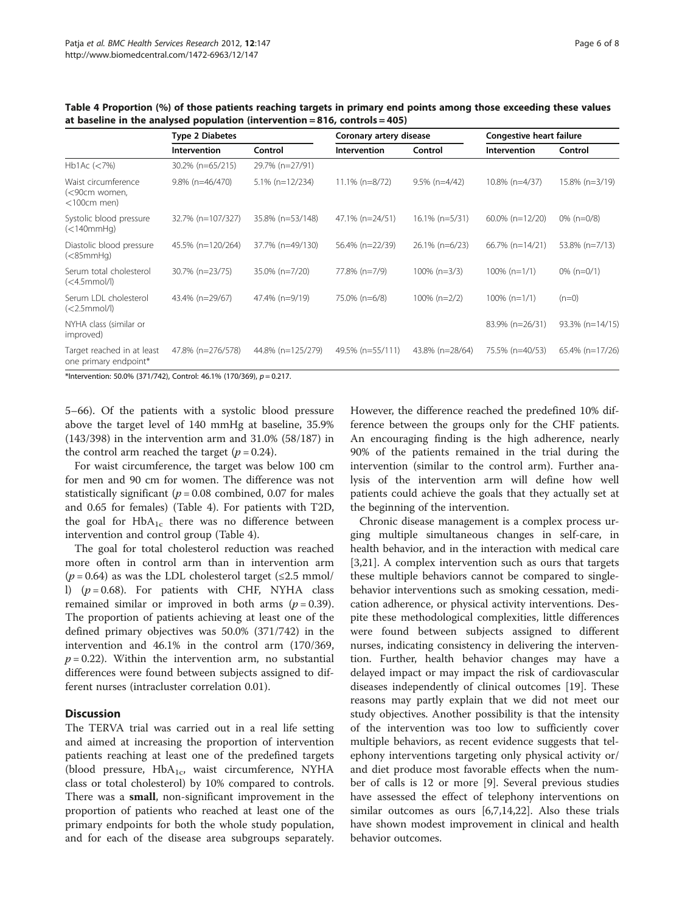|                                                              | <b>Type 2 Diabetes</b> |                    | Coronary artery disease |                   | <b>Congestive heart failure</b> |                   |
|--------------------------------------------------------------|------------------------|--------------------|-------------------------|-------------------|---------------------------------|-------------------|
|                                                              | <b>Intervention</b>    | Control            | Intervention            | Control           | <b>Intervention</b>             | Control           |
| Hb1Ac (< 7%)                                                 | 30.2% (n=65/215)       | 29.7% (n=27/91)    |                         |                   |                                 |                   |
| Waist circumference<br>(<90cm women,<br>$<$ 100 $cm$ men $)$ | $9.8\%$ (n=46/470)     | $5.1\%$ (n=12/234) | $11.1\%$ (n=8/72)       | $9.5\%$ (n=4/42)  | 10.8% (n=4/37)                  | 15.8% (n=3/19)    |
| Systolic blood pressure<br>(<140mmHq)                        | 32.7% (n=107/327)      | 35.8% (n=53/148)   | 47.1% (n=24/51)         | $16.1\% (n=5/31)$ | $60.0\%$ (n=12/20)              | $0\%$ (n=0/8)     |
| Diastolic blood pressure<br>( <sub>85</sub> mmHq)            | 45.5% (n=120/264)      | 37.7% (n=49/130)   | 56.4% (n=22/39)         | 26.1% (n=6/23)    | $66.7\%$ (n=14/21)              | 53.8% (n=7/13)    |
| Serum total cholesterol<br>$(<$ 4.5mmol/l)                   | 30.7% (n=23/75)        | 35.0% (n=7/20)     | 77.8% (n=7/9)           | $100\% (n=3/3)$   | $100\% (n=1/1)$                 | $0\%$ (n= $0/1$ ) |
| Serum LDL cholesterol<br>$\left\langle \langle 2.5$ mmol/l)  | 43.4% (n=29/67)        | 47.4% (n=9/19)     | 75.0% (n=6/8)           | $100\% (n=2/2)$   | $100\% (n=1/1)$                 | $(n=0)$           |
| NYHA class (similar or<br>improved)                          |                        |                    |                         |                   | 83.9% (n=26/31)                 | 93.3% (n=14/15)   |
| Target reached in at least<br>one primary endpoint*          | 47.8% (n=276/578)      | 44.8% (n=125/279)  | 49.5% (n=55/111)        | 43.8% (n=28/64)   | 75.5% (n=40/53)                 | 65.4% (n=17/26)   |

Table 4 Proportion (%) of those patients reaching targets in primary end points among those exceeding these values at baseline in the analysed population (intervention = 816, controls = 405)

\*Intervention: 50.0% (371/742), Control: 46.1% (170/369),  $p = 0.217$ .

5–66). Of the patients with a systolic blood pressure above the target level of 140 mmHg at baseline, 35.9% (143/398) in the intervention arm and 31.0% (58/187) in the control arm reached the target  $(p = 0.24)$ .

For waist circumference, the target was below 100 cm for men and 90 cm for women. The difference was not statistically significant ( $p = 0.08$  combined, 0.07 for males and 0.65 for females) (Table 4). For patients with T2D, the goal for  $HbA_{1c}$  there was no difference between intervention and control group (Table 4).

The goal for total cholesterol reduction was reached more often in control arm than in intervention arm  $(p = 0.64)$  as was the LDL cholesterol target ( $\leq 2.5$  mmol/ l)  $(p = 0.68)$ . For patients with CHF, NYHA class remained similar or improved in both arms ( $p = 0.39$ ). The proportion of patients achieving at least one of the defined primary objectives was 50.0% (371/742) in the intervention and 46.1% in the control arm (170/369,  $p = 0.22$ ). Within the intervention arm, no substantial differences were found between subjects assigned to different nurses (intracluster correlation 0.01).

## **Discussion**

The TERVA trial was carried out in a real life setting and aimed at increasing the proportion of intervention patients reaching at least one of the predefined targets (blood pressure,  $HbA_{1c}$ , waist circumference, NYHA class or total cholesterol) by 10% compared to controls. There was a small, non-significant improvement in the proportion of patients who reached at least one of the primary endpoints for both the whole study population, and for each of the disease area subgroups separately.

However, the difference reached the predefined 10% difference between the groups only for the CHF patients. An encouraging finding is the high adherence, nearly 90% of the patients remained in the trial during the intervention (similar to the control arm). Further analysis of the intervention arm will define how well patients could achieve the goals that they actually set at the beginning of the intervention.

Chronic disease management is a complex process urging multiple simultaneous changes in self-care, in health behavior, and in the interaction with medical care [[3,21\]](#page-7-0). A complex intervention such as ours that targets these multiple behaviors cannot be compared to singlebehavior interventions such as smoking cessation, medication adherence, or physical activity interventions. Despite these methodological complexities, little differences were found between subjects assigned to different nurses, indicating consistency in delivering the intervention. Further, health behavior changes may have a delayed impact or may impact the risk of cardiovascular diseases independently of clinical outcomes [[19\]](#page-7-0). These reasons may partly explain that we did not meet our study objectives. Another possibility is that the intensity of the intervention was too low to sufficiently cover multiple behaviors, as recent evidence suggests that telephony interventions targeting only physical activity or/ and diet produce most favorable effects when the number of calls is 12 or more [\[9](#page-7-0)]. Several previous studies have assessed the effect of telephony interventions on similar outcomes as ours [\[6,7,14,22](#page-7-0)]. Also these trials have shown modest improvement in clinical and health behavior outcomes.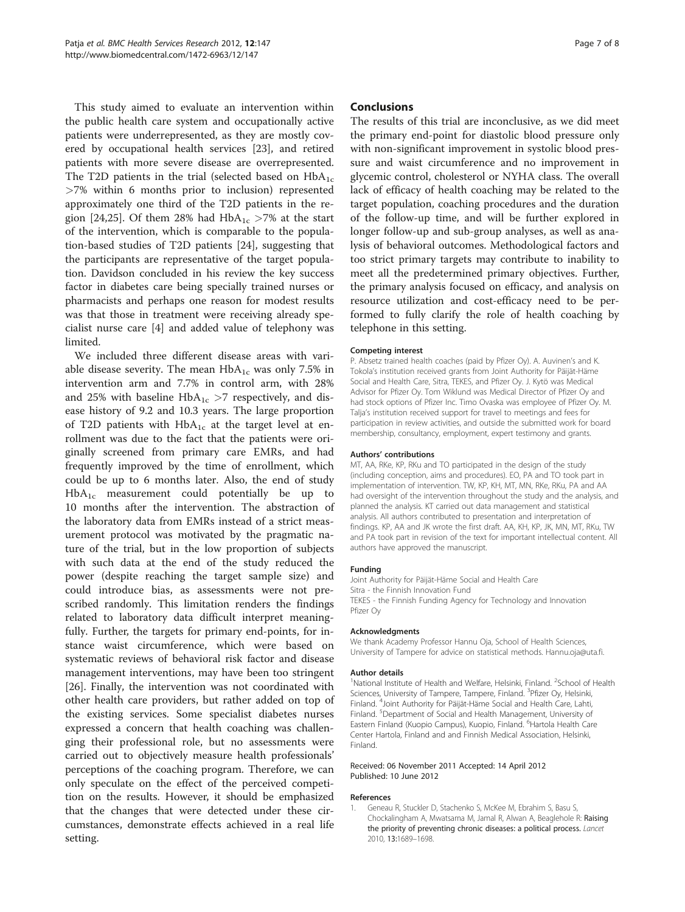<span id="page-6-0"></span>This study aimed to evaluate an intervention within the public health care system and occupationally active patients were underrepresented, as they are mostly covered by occupational health services [[23](#page-7-0)], and retired patients with more severe disease are overrepresented. The T2D patients in the trial (selected based on  $HbA_{1c}$ >7% within 6 months prior to inclusion) represented approximately one third of the T2D patients in the re-gion [\[24,25](#page-7-0)]. Of them 28% had  $HbA_{1c} > 7%$  at the start of the intervention, which is comparable to the population-based studies of T2D patients [\[24\]](#page-7-0), suggesting that the participants are representative of the target population. Davidson concluded in his review the key success factor in diabetes care being specially trained nurses or pharmacists and perhaps one reason for modest results was that those in treatment were receiving already specialist nurse care [[4\]](#page-7-0) and added value of telephony was limited.

We included three different disease areas with variable disease severity. The mean  $HbA_{1c}$  was only 7.5% in intervention arm and 7.7% in control arm, with 28% and 25% with baseline  $HbA_{1c} > 7$  respectively, and disease history of 9.2 and 10.3 years. The large proportion of T2D patients with  $HbA_{1c}$  at the target level at enrollment was due to the fact that the patients were originally screened from primary care EMRs, and had frequently improved by the time of enrollment, which could be up to 6 months later. Also, the end of study  $HbA_{1c}$  measurement could potentially be up to 10 months after the intervention. The abstraction of the laboratory data from EMRs instead of a strict measurement protocol was motivated by the pragmatic nature of the trial, but in the low proportion of subjects with such data at the end of the study reduced the power (despite reaching the target sample size) and could introduce bias, as assessments were not prescribed randomly. This limitation renders the findings related to laboratory data difficult interpret meaningfully. Further, the targets for primary end-points, for instance waist circumference, which were based on systematic reviews of behavioral risk factor and disease management interventions, may have been too stringent [[26\]](#page-7-0). Finally, the intervention was not coordinated with other health care providers, but rather added on top of the existing services. Some specialist diabetes nurses expressed a concern that health coaching was challenging their professional role, but no assessments were carried out to objectively measure health professionals' perceptions of the coaching program. Therefore, we can only speculate on the effect of the perceived competition on the results. However, it should be emphasized that the changes that were detected under these circumstances, demonstrate effects achieved in a real life setting.

## Conclusions

The results of this trial are inconclusive, as we did meet the primary end-point for diastolic blood pressure only with non-significant improvement in systolic blood pressure and waist circumference and no improvement in glycemic control, cholesterol or NYHA class. The overall lack of efficacy of health coaching may be related to the target population, coaching procedures and the duration of the follow-up time, and will be further explored in longer follow-up and sub-group analyses, as well as analysis of behavioral outcomes. Methodological factors and too strict primary targets may contribute to inability to meet all the predetermined primary objectives. Further, the primary analysis focused on efficacy, and analysis on resource utilization and cost-efficacy need to be performed to fully clarify the role of health coaching by telephone in this setting.

#### Competing interest

P. Absetz trained health coaches (paid by Pfizer Oy). A. Auvinen's and K. Tokola's institution received grants from Joint Authority for Päijät-Häme Social and Health Care, Sitra, TEKES, and Pfizer Oy. J. Kytö was Medical Advisor for Pfizer Oy. Tom Wiklund was Medical Director of Pfizer Oy and had stock options of Pfizer Inc. Timo Ovaska was employee of Pfizer Oy. M. Talja's institution received support for travel to meetings and fees for participation in review activities, and outside the submitted work for board membership, consultancy, employment, expert testimony and grants.

#### Authors' contributions

MT, AA, RKe, KP, RKu and TO participated in the design of the study (including conception, aims and procedures). EO, PA and TO took part in implementation of intervention. TW, KP, KH, MT, MN, RKe, RKu, PA and AA had oversight of the intervention throughout the study and the analysis, and planned the analysis. KT carried out data management and statistical analysis. All authors contributed to presentation and interpretation of findings. KP, AA and JK wrote the first draft. AA, KH, KP, JK, MN, MT, RKu, TW and PA took part in revision of the text for important intellectual content. All authors have approved the manuscript.

#### Funding

Joint Authority for Päijät-Häme Social and Health Care Sitra - the Finnish Innovation Fund TEKES - the Finnish Funding Agency for Technology and Innovation Pfizer Oy

#### Acknowledgments

We thank Academy Professor Hannu Oja, School of Health Sciences, University of Tampere for advice on statistical methods. Hannu.oja@uta.fi.

#### Author details

<sup>1</sup>National Institute of Health and Welfare, Helsinki, Finland. <sup>2</sup>School of Health Sciences, University of Tampere, Tampere, Finland. <sup>3</sup>Pfizer Oy, Helsinki, Finland. <sup>4</sup> Joint Authority for Päijät-Häme Social and Health Care, Lahti, Finland. <sup>5</sup>Department of Social and Health Management, University of Eastern Finland (Kuopio Campus), Kuopio, Finland. <sup>6</sup>Hartola Health Care Center Hartola, Finland and and Finnish Medical Association, Helsinki, Finland.

#### Received: 06 November 2011 Accepted: 14 April 2012 Published: 10 June 2012

#### References

1. Geneau R, Stuckler D, Stachenko S, McKee M, Ebrahim S, Basu S, Chockalingham A, Mwatsama M, Jamal R, Alwan A, Beaglehole R: Raising the priority of preventing chronic diseases: a political process. Lancet 2010, 13:1689–1698.